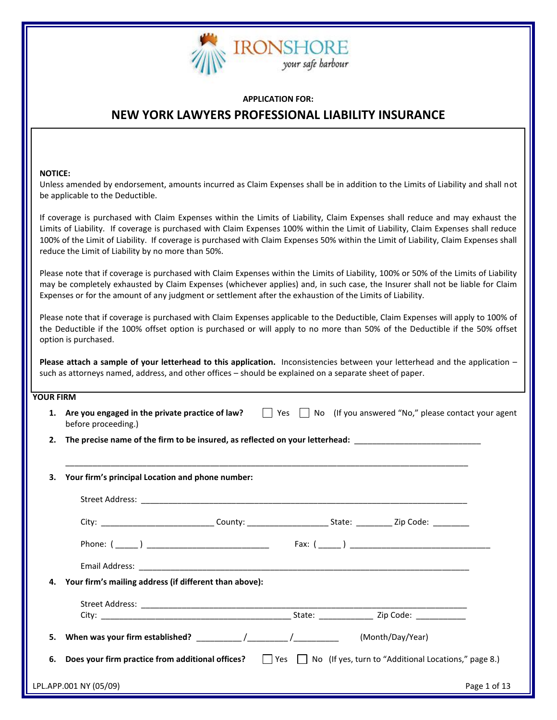

#### **APPLICATION FOR:**

# **NEW YORK LAWYERS PROFESSIONAL LIABILITY INSURANCE**

#### **NOTICE:**

Unless amended by endorsement, amounts incurred as Claim Expenses shall be in addition to the Limits of Liability and shall not be applicable to the Deductible.

If coverage is purchased with Claim Expenses within the Limits of Liability, Claim Expenses shall reduce and may exhaust the Limits of Liability. If coverage is purchased with Claim Expenses 100% within the Limit of Liability, Claim Expenses shall reduce 100% of the Limit of Liability. If coverage is purchased with Claim Expenses 50% within the Limit of Liability, Claim Expenses shall reduce the Limit of Liability by no more than 50%.

Please note that if coverage is purchased with Claim Expenses within the Limits of Liability, 100% or 50% of the Limits of Liability may be completely exhausted by Claim Expenses (whichever applies) and, in such case, the Insurer shall not be liable for Claim Expenses or for the amount of any judgment or settlement after the exhaustion of the Limits of Liability.

Please note that if coverage is purchased with Claim Expenses applicable to the Deductible, Claim Expenses will apply to 100% of the Deductible if the 100% offset option is purchased or will apply to no more than 50% of the Deductible if the 50% offset option is purchased.

**Please attach a sample of your letterhead to this application.** Inconsistencies between your letterhead and the application – such as attorneys named, address, and other offices – should be explained on a separate sheet of paper.

## **YOUR FIRM**

| 1. | Are you engaged in the private practice of law?     Yes     No (If you answered "No," please contact your agent<br>before proceeding.) |  |
|----|----------------------------------------------------------------------------------------------------------------------------------------|--|
| 2. | The precise name of the firm to be insured, as reflected on your letterhead: _________________________________                         |  |
| 3. | Your firm's principal Location and phone number:                                                                                       |  |
|    |                                                                                                                                        |  |
|    |                                                                                                                                        |  |
|    |                                                                                                                                        |  |
|    |                                                                                                                                        |  |
| 4. | Your firm's mailing address (if different than above):                                                                                 |  |
|    |                                                                                                                                        |  |
| 5. | (Month/Day/Year)                                                                                                                       |  |
| 6. | Does your firm practice from additional offices?     Yes     No (If yes, turn to "Additional Locations," page 8.)                      |  |
|    | LPL.APP.001 NY (05/09)<br>Page 1 of 13                                                                                                 |  |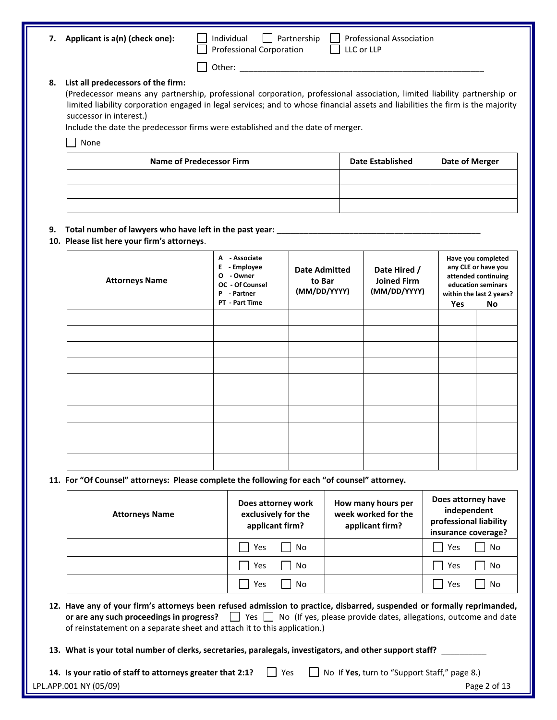| 7. | Applicant is a(n) (check one): |
|----|--------------------------------|
|----|--------------------------------|

Professional Corporation LLC or LLP

**7. Applicant is a(n) (check one):** Individual Partnership Professional Association

Other: \_\_\_\_\_\_\_\_\_\_\_\_\_\_\_\_\_\_\_\_\_\_\_\_\_\_\_\_\_\_\_\_\_\_\_\_\_\_\_\_\_\_\_\_\_\_\_\_\_\_\_\_\_\_

#### **8. List all predecessors of the firm:**

(Predecessor means any partnership, professional corporation, professional association, limited liability partnership or limited liability corporation engaged in legal services; and to whose financial assets and liabilities the firm is the majority successor in interest.)

Include the date the predecessor firms were established and the date of merger.

| None

| Name of Predecessor Firm | <b>Date Established</b> | <b>Date of Merger</b> |
|--------------------------|-------------------------|-----------------------|
|                          |                         |                       |
|                          |                         |                       |
|                          |                         |                       |

## **9. Total number of lawyers who have left in the past year:** \_\_\_\_\_\_\_\_\_\_\_\_\_\_\_\_\_\_\_\_\_\_\_\_\_\_\_\_\_\_\_\_\_\_\_\_\_\_\_\_\_\_\_\_\_

# **10. Please list here your firm's attorneys**.

| <b>Attorneys Name</b> | - Associate<br>A<br>- Employee<br>Е<br>- Owner<br>$\mathbf{o}$<br>OC - Of Counsel<br>P<br>- Partner | <b>Date Admitted</b><br>to Bar<br>(MM/DD/YYYY) | Date Hired /<br><b>Joined Firm</b><br>(MM/DD/YYYY) |     | Have you completed<br>any CLE or have you<br>attended continuing<br>education seminars<br>within the last 2 years? |
|-----------------------|-----------------------------------------------------------------------------------------------------|------------------------------------------------|----------------------------------------------------|-----|--------------------------------------------------------------------------------------------------------------------|
|                       | PT - Part Time                                                                                      |                                                |                                                    | Yes | No                                                                                                                 |
|                       |                                                                                                     |                                                |                                                    |     |                                                                                                                    |
|                       |                                                                                                     |                                                |                                                    |     |                                                                                                                    |
|                       |                                                                                                     |                                                |                                                    |     |                                                                                                                    |
|                       |                                                                                                     |                                                |                                                    |     |                                                                                                                    |
|                       |                                                                                                     |                                                |                                                    |     |                                                                                                                    |
|                       |                                                                                                     |                                                |                                                    |     |                                                                                                                    |
|                       |                                                                                                     |                                                |                                                    |     |                                                                                                                    |
|                       |                                                                                                     |                                                |                                                    |     |                                                                                                                    |
|                       |                                                                                                     |                                                |                                                    |     |                                                                                                                    |
|                       |                                                                                                     |                                                |                                                    |     |                                                                                                                    |

## **11. For "Of Counsel" attorneys: Please complete the following for each "of counsel" attorney.**

| <b>Attorneys Name</b> | Does attorney work<br>exclusively for the<br>applicant firm? | How many hours per<br>week worked for the<br>applicant firm? | Does attorney have<br>independent<br>professional liability<br>insurance coverage? |
|-----------------------|--------------------------------------------------------------|--------------------------------------------------------------|------------------------------------------------------------------------------------|
|                       | No<br>Yes                                                    |                                                              | No<br>Yes                                                                          |
|                       | No<br>Yes                                                    |                                                              | No<br>Yes                                                                          |
|                       | No<br>Yes                                                    |                                                              | No<br>Yes                                                                          |

- **12. Have any of your firm's attorneys been refused admission to practice, disbarred, suspended or formally reprimanded, or are any such proceedings in progress?** No (If yes, please provide dates, allegations, outcome and date of reinstatement on a separate sheet and attach it to this application.)
- **13. What is your total number of clerks, secretaries, paralegals, investigators, and other support staff?** \_\_\_\_\_\_\_\_\_\_

| 14. Is your ratio of staff to attorneys greater that 2:1? | . Yes | $\Box$ No If Yes, turn to "Support Staff," page 8.) |              |
|-----------------------------------------------------------|-------|-----------------------------------------------------|--------------|
| LPL.APP.001 NY (05/09)                                    |       |                                                     | Page 2 of 13 |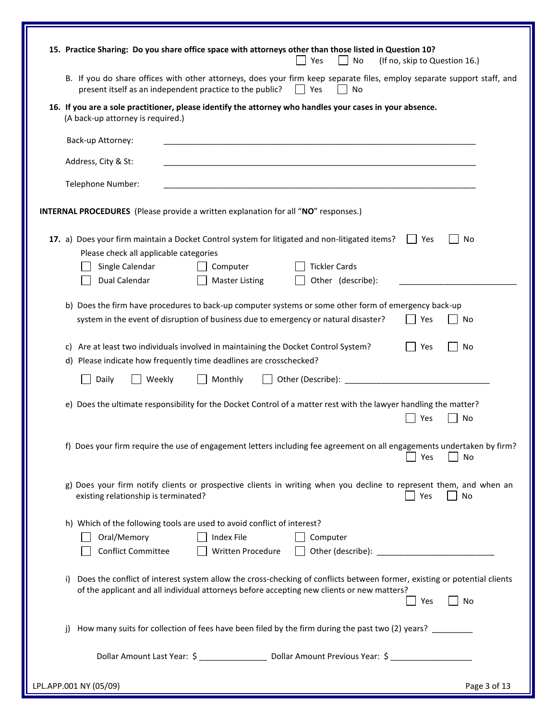|    |                                        | B. If you do share offices with other attorneys, does your firm keep separate files, employ separate support staff, and<br>present itself as an independent practice to the public? | Yes<br>No            |     |           |
|----|----------------------------------------|-------------------------------------------------------------------------------------------------------------------------------------------------------------------------------------|----------------------|-----|-----------|
|    | (A back-up attorney is required.)      | 16. If you are a sole practitioner, please identify the attorney who handles your cases in your absence.                                                                            |                      |     |           |
|    | Back-up Attorney:                      |                                                                                                                                                                                     |                      |     |           |
|    | Address, City & St:                    |                                                                                                                                                                                     |                      |     |           |
|    | Telephone Number:                      |                                                                                                                                                                                     |                      |     |           |
|    |                                        | <b>INTERNAL PROCEDURES</b> (Please provide a written explanation for all "NO" responses.)                                                                                           |                      |     |           |
|    | Please check all applicable categories | 17. a) Does your firm maintain a Docket Control system for litigated and non-litigated items?                                                                                       |                      | Yes | No        |
|    | Single Calendar                        | Computer                                                                                                                                                                            | <b>Tickler Cards</b> |     |           |
|    | Dual Calendar                          | <b>Master Listing</b>                                                                                                                                                               | Other (describe):    |     |           |
|    |                                        | b) Does the firm have procedures to back-up computer systems or some other form of emergency back-up                                                                                |                      |     |           |
|    |                                        | system in the event of disruption of business due to emergency or natural disaster?                                                                                                 |                      | Yes | No        |
|    |                                        |                                                                                                                                                                                     |                      |     |           |
|    |                                        |                                                                                                                                                                                     |                      |     |           |
| C) |                                        | Are at least two individuals involved in maintaining the Docket Control System?<br>d) Please indicate how frequently time deadlines are crosschecked?                               |                      | Yes | No        |
|    | Daily                                  | Weekly<br>Monthly                                                                                                                                                                   |                      |     |           |
|    |                                        |                                                                                                                                                                                     |                      |     |           |
|    |                                        | e) Does the ultimate responsibility for the Docket Control of a matter rest with the lawyer handling the matter?                                                                    |                      |     |           |
|    |                                        |                                                                                                                                                                                     |                      | Yes | No        |
|    |                                        | f) Does your firm require the use of engagement letters including fee agreement on all engagements undertaken by firm?                                                              |                      | Yes | <b>No</b> |
|    | existing relationship is terminated?   | g) Does your firm notify clients or prospective clients in writing when you decline to represent them, and when an                                                                  |                      | Yes | No        |
|    |                                        | h) Which of the following tools are used to avoid conflict of interest?                                                                                                             |                      |     |           |
|    | Oral/Memory                            | Index File                                                                                                                                                                          | Computer             |     |           |
|    | <b>Conflict Committee</b>              |                                                                                                                                                                                     |                      |     |           |
|    |                                        |                                                                                                                                                                                     |                      |     |           |
| i) |                                        | Does the conflict of interest system allow the cross-checking of conflicts between former, existing or potential clients                                                            |                      |     |           |
|    |                                        | of the applicant and all individual attorneys before accepting new clients or new matters?                                                                                          |                      | Yes | No        |
|    |                                        |                                                                                                                                                                                     |                      |     |           |
| i) |                                        | How many suits for collection of fees have been filed by the firm during the past two (2) years? _______                                                                            |                      |     |           |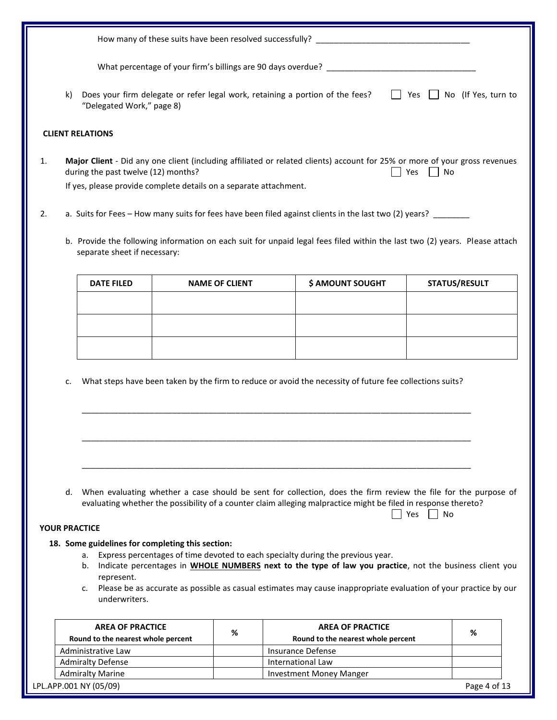|    | k) | Does your firm delegate or refer legal work, retaining a portion of the fees?<br>"Delegated Work," page 8) |                       | $\perp$                                                                                                                                                                                                                                                                                                               | Yes   No (If Yes, turn to |
|----|----|------------------------------------------------------------------------------------------------------------|-----------------------|-----------------------------------------------------------------------------------------------------------------------------------------------------------------------------------------------------------------------------------------------------------------------------------------------------------------------|---------------------------|
|    |    | <b>CLIENT RELATIONS</b>                                                                                    |                       |                                                                                                                                                                                                                                                                                                                       |                           |
| 1. |    | during the past twelve (12) months?                                                                        |                       | Major Client - Did any one client (including affiliated or related clients) account for 25% or more of your gross revenues<br>Yes<br>  No                                                                                                                                                                             |                           |
|    |    | If yes, please provide complete details on a separate attachment.                                          |                       |                                                                                                                                                                                                                                                                                                                       |                           |
| 2. |    |                                                                                                            |                       | a. Suits for Fees - How many suits for fees have been filed against clients in the last two (2) years? ______                                                                                                                                                                                                         |                           |
|    |    | separate sheet if necessary:                                                                               |                       | b. Provide the following information on each suit for unpaid legal fees filed within the last two (2) years. Please attach                                                                                                                                                                                            |                           |
|    |    | <b>DATE FILED</b>                                                                                          | <b>NAME OF CLIENT</b> | \$ AMOUNT SOUGHT                                                                                                                                                                                                                                                                                                      | <b>STATUS/RESULT</b>      |
|    |    |                                                                                                            |                       |                                                                                                                                                                                                                                                                                                                       |                           |
|    |    |                                                                                                            |                       |                                                                                                                                                                                                                                                                                                                       |                           |
|    |    |                                                                                                            |                       |                                                                                                                                                                                                                                                                                                                       |                           |
|    |    |                                                                                                            |                       |                                                                                                                                                                                                                                                                                                                       |                           |
|    | c. |                                                                                                            |                       | What steps have been taken by the firm to reduce or avoid the necessity of future fee collections suits?                                                                                                                                                                                                              |                           |
|    |    |                                                                                                            |                       |                                                                                                                                                                                                                                                                                                                       |                           |
|    | d. |                                                                                                            |                       | When evaluating whether a case should be sent for collection, does the firm review the file for the purpose of<br>evaluating whether the possibility of a counter claim alleging malpractice might be filed in response thereto?<br>Yes<br>No                                                                         |                           |
|    |    | <b>YOUR PRACTICE</b>                                                                                       |                       |                                                                                                                                                                                                                                                                                                                       |                           |
|    |    | 18. Some guidelines for completing this section:<br>a.<br>b.<br>represent.<br>c.<br>underwriters.          |                       | Express percentages of time devoted to each specialty during the previous year.<br>Indicate percentages in <b>WHOLE NUMBERS</b> next to the type of law you practice, not the business client you<br>Please be as accurate as possible as casual estimates may cause inappropriate evaluation of your practice by our |                           |
|    |    |                                                                                                            |                       |                                                                                                                                                                                                                                                                                                                       |                           |
|    |    | <b>AREA OF PRACTICE</b><br>Round to the nearest whole percent                                              | %                     | <b>AREA OF PRACTICE</b><br>Round to the nearest whole percent                                                                                                                                                                                                                                                         | %                         |
|    |    | Administrative Law                                                                                         |                       | <b>Insurance Defense</b>                                                                                                                                                                                                                                                                                              |                           |
|    |    | <b>Admiralty Defense</b>                                                                                   |                       | International Law                                                                                                                                                                                                                                                                                                     |                           |
|    |    | <b>Admiralty Marine</b>                                                                                    |                       | Investment Money Manger                                                                                                                                                                                                                                                                                               |                           |

|  |  | LPL.APP.001 NY (05/09) |  |  |
|--|--|------------------------|--|--|
|  |  |                        |  |  |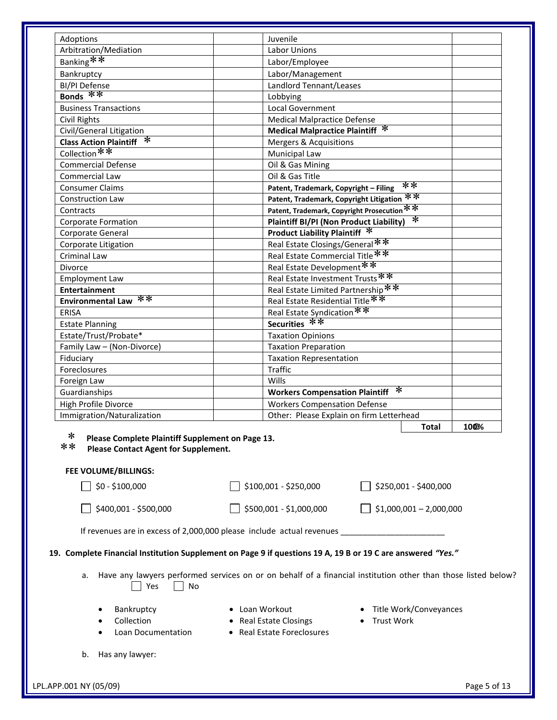| Adoptions                                                                                                  | Juvenile                                                 |      |  |  |  |
|------------------------------------------------------------------------------------------------------------|----------------------------------------------------------|------|--|--|--|
| Arbitration/Mediation                                                                                      | <b>Labor Unions</b>                                      |      |  |  |  |
| Banking**                                                                                                  | Labor/Employee                                           |      |  |  |  |
| Bankruptcy                                                                                                 | Labor/Management                                         |      |  |  |  |
| <b>BI/PI Defense</b>                                                                                       | Landlord Tennant/Leases                                  |      |  |  |  |
| Bonds $**$                                                                                                 | Lobbying                                                 |      |  |  |  |
| <b>Business Transactions</b>                                                                               | Local Government                                         |      |  |  |  |
| Civil Rights                                                                                               | <b>Medical Malpractice Defense</b>                       |      |  |  |  |
| Civil/General Litigation                                                                                   | Medical Malpractice Plaintiff *                          |      |  |  |  |
| Class Action Plaintiff *                                                                                   | <b>Mergers &amp; Acquisitions</b>                        |      |  |  |  |
| Collection**                                                                                               | Municipal Law                                            |      |  |  |  |
| <b>Commercial Defense</b>                                                                                  | Oil & Gas Mining                                         |      |  |  |  |
| Commercial Law                                                                                             | Oil & Gas Title                                          |      |  |  |  |
| <b>Consumer Claims</b>                                                                                     | $**$<br>Patent, Trademark, Copyright - Filing            |      |  |  |  |
| <b>Construction Law</b>                                                                                    | $**$<br>Patent, Trademark, Copyright Litigation          |      |  |  |  |
| Contracts                                                                                                  | Patent, Trademark, Copyright Prosecution **              |      |  |  |  |
| <b>Corporate Formation</b>                                                                                 | $\ast$<br><b>Plaintiff BI/PI (Non Product Liability)</b> |      |  |  |  |
| Corporate General                                                                                          | Product Liability Plaintiff *                            |      |  |  |  |
| Corporate Litigation                                                                                       | Real Estate Closings/General**                           |      |  |  |  |
| Criminal Law                                                                                               | Real Estate Commercial Title**                           |      |  |  |  |
| <b>Divorce</b>                                                                                             | Real Estate Development **                               |      |  |  |  |
| <b>Employment Law</b>                                                                                      | Real Estate Investment Trusts **                         |      |  |  |  |
| <b>Entertainment</b>                                                                                       | Real Estate Limited Partnership **                       |      |  |  |  |
| $\ast\ast$<br><b>Environmental Law</b>                                                                     | Real Estate Residential Title **                         |      |  |  |  |
| <b>ERISA</b>                                                                                               | Real Estate Syndication **                               |      |  |  |  |
| <b>Estate Planning</b>                                                                                     | Securities **                                            |      |  |  |  |
| Estate/Trust/Probate*                                                                                      | <b>Taxation Opinions</b>                                 |      |  |  |  |
| Family Law - (Non-Divorce)                                                                                 | <b>Taxation Preparation</b>                              |      |  |  |  |
| Fiduciary                                                                                                  | <b>Taxation Representation</b>                           |      |  |  |  |
| Foreclosures                                                                                               | <b>Traffic</b>                                           |      |  |  |  |
| Foreign Law                                                                                                | <b>Wills</b>                                             |      |  |  |  |
| Guardianships                                                                                              | ∗<br><b>Workers Compensation Plaintiff</b>               |      |  |  |  |
| High Profile Divorce                                                                                       | <b>Workers Compensation Defense</b>                      |      |  |  |  |
| Immigration/Naturalization                                                                                 | Other: Please Explain on firm Letterhead                 |      |  |  |  |
|                                                                                                            | <b>Total</b>                                             | 100% |  |  |  |
| ∗<br>Please Complete Plaintiff Supplement on Page 13.<br>**<br><b>Please Contact Agent for Supplement.</b> |                                                          |      |  |  |  |
| <b>FEE VOLUME/BILLINGS:</b><br>\$0 - \$100,000                                                             | \$100,001 - \$250,000<br>\$250,001 - \$400,000           |      |  |  |  |
|                                                                                                            |                                                          |      |  |  |  |

| $$400,001 - $500,000$ | $\sqrt{$}$ \$500,001 - \$1,000,000 | $\bigcup$ \$1,000,001 - 2,000,000 |
|-----------------------|------------------------------------|-----------------------------------|
|-----------------------|------------------------------------|-----------------------------------|

| If revenues are in excess of 2,000,000 please include actual revenues |  |  |
|-----------------------------------------------------------------------|--|--|
|                                                                       |  |  |

### **19. Complete Financial Institution Supplement on Page 9 if questions 19 A, 19 B or 19 C are answered** *"Yes."*

- a. Have any lawyers performed services on or on behalf of a financial institution other than those listed below? Yes No
	-
- 
- Bankruptcy Loan Workout Title Work/Conveyances
- Collection Real Estate Closings Trust Work
- 
- Loan Documentation Real Estate Foreclosures
- b. Has any lawyer: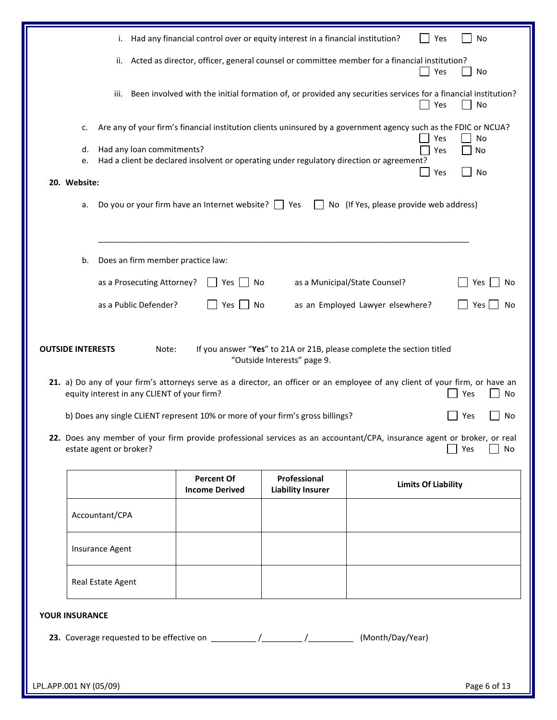|                        |                                                                        | i. Had any financial control over or equity interest in a financial institution?         |                                          |                                                                                                                                                                                                                                                         | No<br>Yes                           |
|------------------------|------------------------------------------------------------------------|------------------------------------------------------------------------------------------|------------------------------------------|---------------------------------------------------------------------------------------------------------------------------------------------------------------------------------------------------------------------------------------------------------|-------------------------------------|
|                        |                                                                        |                                                                                          |                                          | ii. Acted as director, officer, general counsel or committee member for a financial institution?<br>Yes                                                                                                                                                 | No                                  |
|                        | iii.                                                                   |                                                                                          |                                          | Been involved with the initial formation of, or provided any securities services for a financial institution?                                                                                                                                           | No<br>Yes                           |
| c.                     |                                                                        |                                                                                          |                                          | Are any of your firm's financial institution clients uninsured by a government agency such as the FDIC or NCUA?                                                                                                                                         |                                     |
| d.                     | Had any loan commitments?                                              | Had a client be declared insolvent or operating under regulatory direction or agreement? |                                          |                                                                                                                                                                                                                                                         | Yes<br>No<br>Yes<br>No              |
| e.<br>20. Website:     |                                                                        |                                                                                          |                                          | Yes                                                                                                                                                                                                                                                     | No                                  |
| a.                     |                                                                        | Do you or your firm have an Internet website? $\Box$ Yes                                 |                                          | No (If Yes, please provide web address)                                                                                                                                                                                                                 |                                     |
| b.                     | Does an firm member practice law:                                      |                                                                                          |                                          |                                                                                                                                                                                                                                                         |                                     |
|                        | as a Prosecuting Attorney?                                             | Yes I                                                                                    | No                                       | as a Municipal/State Counsel?                                                                                                                                                                                                                           | Yes<br>No                           |
|                        | as a Public Defender?                                                  | Yes  <br>No                                                                              |                                          | as an Employed Lawyer elsewhere?                                                                                                                                                                                                                        | Yes<br>No                           |
|                        | equity interest in any CLIENT of your firm?<br>estate agent or broker? | b) Does any single CLIENT represent 10% or more of your firm's gross billings?           |                                          | 21. a) Do any of your firm's attorneys serve as a director, an officer or an employee of any client of your firm, or have an<br>22. Does any member of your firm provide professional services as an accountant/CPA, insurance agent or broker, or real | No<br>Yes<br>No<br>Yes<br>Yes<br>No |
|                        |                                                                        | <b>Percent Of</b><br><b>Income Derived</b>                                               | Professional<br><b>Liability Insurer</b> | <b>Limits Of Liability</b>                                                                                                                                                                                                                              |                                     |
|                        | Accountant/CPA                                                         |                                                                                          |                                          |                                                                                                                                                                                                                                                         |                                     |
|                        | Insurance Agent                                                        |                                                                                          |                                          |                                                                                                                                                                                                                                                         |                                     |
|                        | Real Estate Agent                                                      |                                                                                          |                                          |                                                                                                                                                                                                                                                         |                                     |
| <b>YOUR INSURANCE</b>  |                                                                        |                                                                                          |                                          |                                                                                                                                                                                                                                                         |                                     |
|                        |                                                                        |                                                                                          |                                          | (Month/Day/Year)                                                                                                                                                                                                                                        |                                     |
|                        |                                                                        |                                                                                          |                                          |                                                                                                                                                                                                                                                         |                                     |
| LPL.APP.001 NY (05/09) |                                                                        |                                                                                          |                                          |                                                                                                                                                                                                                                                         | Page 6 of 13                        |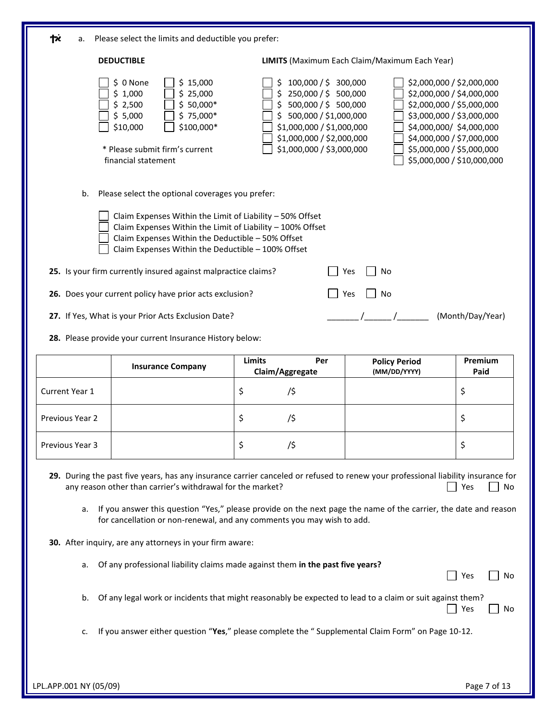| Please select the limits and deductible you prefer:<br>a.                                                                                                                                                                                                                                                                                                                                                                                                            |                                                                                                                                                                                                                                                                                                                                                                                                                                                         |                                                                                                                                                                                          |                                                                                                                                                                                                        |                            |  |  |
|----------------------------------------------------------------------------------------------------------------------------------------------------------------------------------------------------------------------------------------------------------------------------------------------------------------------------------------------------------------------------------------------------------------------------------------------------------------------|---------------------------------------------------------------------------------------------------------------------------------------------------------------------------------------------------------------------------------------------------------------------------------------------------------------------------------------------------------------------------------------------------------------------------------------------------------|------------------------------------------------------------------------------------------------------------------------------------------------------------------------------------------|--------------------------------------------------------------------------------------------------------------------------------------------------------------------------------------------------------|----------------------------|--|--|
| <b>DEDUCTIBLE</b>                                                                                                                                                                                                                                                                                                                                                                                                                                                    |                                                                                                                                                                                                                                                                                                                                                                                                                                                         |                                                                                                                                                                                          | <b>LIMITS</b> (Maximum Each Claim/Maximum Each Year)                                                                                                                                                   |                            |  |  |
|                                                                                                                                                                                                                                                                                                                                                                                                                                                                      | \$ 0 None<br>\$15,000<br>\$25,000<br>\$1,000<br>$$50,000*$<br>\$2,500<br>$$75,000*$<br>\$5,000<br>\$100,000*<br>\$10,000<br>* Please submit firm's current<br>financial statement                                                                                                                                                                                                                                                                       | 100,000 / \$ 300,000<br>\$250,000 / \$500,000<br>\$500,000 / \$500,000<br>\$500,000 / \$1,000,000<br>\$1,000,000 / \$1,000,000<br>\$1,000,000 / \$2,000,000<br>\$1,000,000 / \$3,000,000 | \$2,000,000 / \$2,000,000<br>\$2,000,000 / \$4,000,000<br>\$2,000,000 / \$5,000,000<br>\$3,000,000 / \$3,000,000<br>\$4,000,000/ \$4,000,000<br>\$4,000,000 / \$7,000,000<br>\$5,000,000 / \$5,000,000 | \$5,000,000 / \$10,000,000 |  |  |
| b.                                                                                                                                                                                                                                                                                                                                                                                                                                                                   | Please select the optional coverages you prefer:                                                                                                                                                                                                                                                                                                                                                                                                        |                                                                                                                                                                                          |                                                                                                                                                                                                        |                            |  |  |
| Claim Expenses Within the Limit of Liability - 50% Offset<br>Claim Expenses Within the Limit of Liability - 100% Offset<br>Claim Expenses Within the Deductible - 50% Offset<br>Claim Expenses Within the Deductible - 100% Offset<br>25. Is your firm currently insured against malpractice claims?<br>No<br>Yes<br>26. Does your current policy have prior acts exclusion?<br>No<br>Yes<br>27. If Yes, What is your Prior Acts Exclusion Date?<br>(Month/Day/Year) |                                                                                                                                                                                                                                                                                                                                                                                                                                                         |                                                                                                                                                                                          |                                                                                                                                                                                                        |                            |  |  |
|                                                                                                                                                                                                                                                                                                                                                                                                                                                                      | 28. Please provide your current Insurance History below:                                                                                                                                                                                                                                                                                                                                                                                                |                                                                                                                                                                                          |                                                                                                                                                                                                        |                            |  |  |
|                                                                                                                                                                                                                                                                                                                                                                                                                                                                      |                                                                                                                                                                                                                                                                                                                                                                                                                                                         |                                                                                                                                                                                          |                                                                                                                                                                                                        |                            |  |  |
|                                                                                                                                                                                                                                                                                                                                                                                                                                                                      | <b>Insurance Company</b>                                                                                                                                                                                                                                                                                                                                                                                                                                | <b>Limits</b><br>Per<br>Claim/Aggregate                                                                                                                                                  | <b>Policy Period</b><br>(MM/DD/YYYY)                                                                                                                                                                   | Premium<br>Paid            |  |  |
| Current Year 1                                                                                                                                                                                                                                                                                                                                                                                                                                                       |                                                                                                                                                                                                                                                                                                                                                                                                                                                         | \$<br>/\$                                                                                                                                                                                |                                                                                                                                                                                                        | \$                         |  |  |
| Previous Year 2                                                                                                                                                                                                                                                                                                                                                                                                                                                      |                                                                                                                                                                                                                                                                                                                                                                                                                                                         | \$<br>/\$                                                                                                                                                                                |                                                                                                                                                                                                        | \$                         |  |  |
| Previous Year 3                                                                                                                                                                                                                                                                                                                                                                                                                                                      |                                                                                                                                                                                                                                                                                                                                                                                                                                                         | \$<br>/\$                                                                                                                                                                                |                                                                                                                                                                                                        | \$                         |  |  |
| а.                                                                                                                                                                                                                                                                                                                                                                                                                                                                   | 29. During the past five years, has any insurance carrier canceled or refused to renew your professional liability insurance for<br>any reason other than carrier's withdrawal for the market?<br>If you answer this question "Yes," please provide on the next page the name of the carrier, the date and reason<br>for cancellation or non-renewal, and any comments you may wish to add.<br>30. After inquiry, are any attorneys in your firm aware: |                                                                                                                                                                                          |                                                                                                                                                                                                        | Yes<br>No                  |  |  |
| a.                                                                                                                                                                                                                                                                                                                                                                                                                                                                   | Of any professional liability claims made against them in the past five years?                                                                                                                                                                                                                                                                                                                                                                          |                                                                                                                                                                                          |                                                                                                                                                                                                        | Yes<br>No                  |  |  |
| b.                                                                                                                                                                                                                                                                                                                                                                                                                                                                   | Of any legal work or incidents that might reasonably be expected to lead to a claim or suit against them?                                                                                                                                                                                                                                                                                                                                               |                                                                                                                                                                                          |                                                                                                                                                                                                        | Yes<br>No                  |  |  |
| c.                                                                                                                                                                                                                                                                                                                                                                                                                                                                   | If you answer either question "Yes," please complete the " Supplemental Claim Form" on Page 10-12.                                                                                                                                                                                                                                                                                                                                                      |                                                                                                                                                                                          |                                                                                                                                                                                                        |                            |  |  |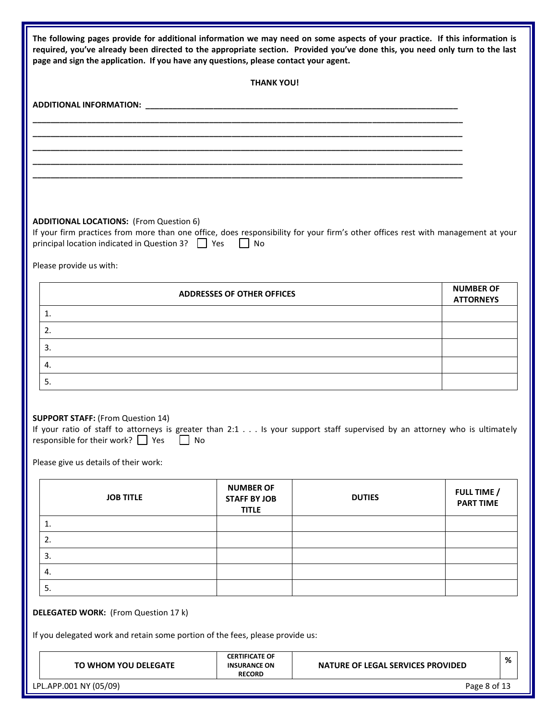| The following pages provide for additional information we may need on some aspects of your practice. If this information is<br>required, you've already been directed to the appropriate section. Provided you've done this, you need only turn to the last<br>page and sign the application. If you have any questions, please contact your agent. |                                                               |                                          |                                      |   |
|-----------------------------------------------------------------------------------------------------------------------------------------------------------------------------------------------------------------------------------------------------------------------------------------------------------------------------------------------------|---------------------------------------------------------------|------------------------------------------|--------------------------------------|---|
|                                                                                                                                                                                                                                                                                                                                                     | <b>THANK YOU!</b>                                             |                                          |                                      |   |
|                                                                                                                                                                                                                                                                                                                                                     |                                                               |                                          |                                      |   |
|                                                                                                                                                                                                                                                                                                                                                     |                                                               |                                          |                                      |   |
|                                                                                                                                                                                                                                                                                                                                                     |                                                               |                                          |                                      |   |
|                                                                                                                                                                                                                                                                                                                                                     |                                                               |                                          |                                      |   |
|                                                                                                                                                                                                                                                                                                                                                     |                                                               |                                          |                                      |   |
|                                                                                                                                                                                                                                                                                                                                                     |                                                               |                                          |                                      |   |
| <b>ADDITIONAL LOCATIONS:</b> (From Question 6)<br>If your firm practices from more than one office, does responsibility for your firm's other offices rest with management at your<br>principal location indicated in Question 3?   Yes                                                                                                             | $\Box$ No                                                     |                                          |                                      |   |
| Please provide us with:                                                                                                                                                                                                                                                                                                                             |                                                               |                                          |                                      |   |
|                                                                                                                                                                                                                                                                                                                                                     | <b>ADDRESSES OF OTHER OFFICES</b>                             |                                          | <b>NUMBER OF</b><br><b>ATTORNEYS</b> |   |
| 1.                                                                                                                                                                                                                                                                                                                                                  |                                                               |                                          |                                      |   |
| 2.                                                                                                                                                                                                                                                                                                                                                  |                                                               |                                          |                                      |   |
| 3.                                                                                                                                                                                                                                                                                                                                                  |                                                               |                                          |                                      |   |
| 4.                                                                                                                                                                                                                                                                                                                                                  |                                                               |                                          |                                      |   |
| 5.                                                                                                                                                                                                                                                                                                                                                  |                                                               |                                          |                                      |   |
| <b>SUPPORT STAFF: (From Question 14)</b><br>If your ratio of staff to attorneys is greater than 2:1 Is your support staff supervised by an attorney who is ultimately<br>responsible for their work? $\Box$ Yes $\Box$ No<br>Please give us details of their work:                                                                                  |                                                               |                                          |                                      |   |
|                                                                                                                                                                                                                                                                                                                                                     |                                                               |                                          |                                      |   |
| <b>JOB TITLE</b>                                                                                                                                                                                                                                                                                                                                    | <b>NUMBER OF</b><br><b>STAFF BY JOB</b><br><b>TITLE</b>       | <b>DUTIES</b>                            | FULL TIME /<br><b>PART TIME</b>      |   |
| 1.                                                                                                                                                                                                                                                                                                                                                  |                                                               |                                          |                                      |   |
| 2.                                                                                                                                                                                                                                                                                                                                                  |                                                               |                                          |                                      |   |
| 3.                                                                                                                                                                                                                                                                                                                                                  |                                                               |                                          |                                      |   |
| 4.                                                                                                                                                                                                                                                                                                                                                  |                                                               |                                          |                                      |   |
| 5.                                                                                                                                                                                                                                                                                                                                                  |                                                               |                                          |                                      |   |
| <b>DELEGATED WORK:</b> (From Question 17 k)<br>If you delegated work and retain some portion of the fees, please provide us:                                                                                                                                                                                                                        |                                                               |                                          |                                      |   |
| TO WHOM YOU DELEGATE                                                                                                                                                                                                                                                                                                                                | <b>CERTIFICATE OF</b><br><b>INSURANCE ON</b><br><b>RECORD</b> | <b>NATURE OF LEGAL SERVICES PROVIDED</b> |                                      | % |
| LPL.APP.001 NY (05/09)                                                                                                                                                                                                                                                                                                                              |                                                               |                                          | Page 8 of 13                         |   |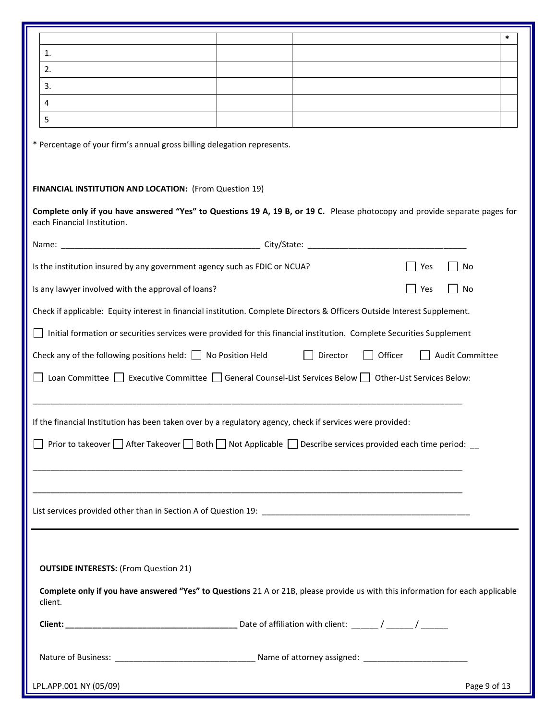|                                                                                                                                                           |  |          |         | $\ast$          |  |  |
|-----------------------------------------------------------------------------------------------------------------------------------------------------------|--|----------|---------|-----------------|--|--|
| 1.                                                                                                                                                        |  |          |         |                 |  |  |
| 2.                                                                                                                                                        |  |          |         |                 |  |  |
| 3.                                                                                                                                                        |  |          |         |                 |  |  |
| 4                                                                                                                                                         |  |          |         |                 |  |  |
| 5                                                                                                                                                         |  |          |         |                 |  |  |
| * Percentage of your firm's annual gross billing delegation represents.                                                                                   |  |          |         |                 |  |  |
| FINANCIAL INSTITUTION AND LOCATION: (From Question 19)                                                                                                    |  |          |         |                 |  |  |
| Complete only if you have answered "Yes" to Questions 19 A, 19 B, or 19 C. Please photocopy and provide separate pages for<br>each Financial Institution. |  |          |         |                 |  |  |
|                                                                                                                                                           |  |          |         |                 |  |  |
| Is the institution insured by any government agency such as FDIC or NCUA?                                                                                 |  |          | Yes     | No              |  |  |
| Is any lawyer involved with the approval of loans?                                                                                                        |  |          | Yes     | No              |  |  |
| Check if applicable: Equity interest in financial institution. Complete Directors & Officers Outside Interest Supplement.                                 |  |          |         |                 |  |  |
| Initial formation or securities services were provided for this financial institution. Complete Securities Supplement                                     |  |          |         |                 |  |  |
| Check any of the following positions held: $\Box$ No Position Held                                                                                        |  | Director | Officer | Audit Committee |  |  |
| Loan Committee E Executive Committee General Counsel-List Services Below Dother-List Services Below:                                                      |  |          |         |                 |  |  |
| If the financial Institution has been taken over by a regulatory agency, check if services were provided:                                                 |  |          |         |                 |  |  |
| Prior to takeover $\Box$ After Takeover $\Box$ Both $\Box$ Not Applicable $\Box$ Describe services provided each time period: $\Box$                      |  |          |         |                 |  |  |
|                                                                                                                                                           |  |          |         |                 |  |  |
|                                                                                                                                                           |  |          |         |                 |  |  |
|                                                                                                                                                           |  |          |         |                 |  |  |
|                                                                                                                                                           |  |          |         |                 |  |  |
| <b>OUTSIDE INTERESTS: (From Question 21)</b>                                                                                                              |  |          |         |                 |  |  |
| Complete only if you have answered "Yes" to Questions 21 A or 21B, please provide us with this information for each applicable<br>client.                 |  |          |         |                 |  |  |
|                                                                                                                                                           |  |          |         |                 |  |  |
|                                                                                                                                                           |  |          |         |                 |  |  |
|                                                                                                                                                           |  |          |         |                 |  |  |
| LPL.APP.001 NY (05/09)                                                                                                                                    |  |          |         | Page 9 of 13    |  |  |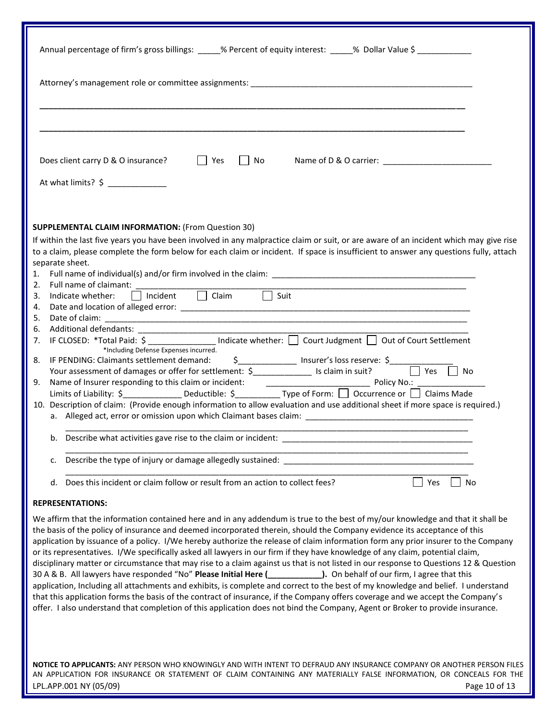| Annual percentage of firm's gross billings: _____% Percent of equity interest: _____% Dollar Value \$ __________                                                                                                                                                                                                                                                                                                                                                                                                                                                                                                                                                                                                                                                                                                                                                                                                                                                                                                                                                                                                                                                                                                                       |
|----------------------------------------------------------------------------------------------------------------------------------------------------------------------------------------------------------------------------------------------------------------------------------------------------------------------------------------------------------------------------------------------------------------------------------------------------------------------------------------------------------------------------------------------------------------------------------------------------------------------------------------------------------------------------------------------------------------------------------------------------------------------------------------------------------------------------------------------------------------------------------------------------------------------------------------------------------------------------------------------------------------------------------------------------------------------------------------------------------------------------------------------------------------------------------------------------------------------------------------|
|                                                                                                                                                                                                                                                                                                                                                                                                                                                                                                                                                                                                                                                                                                                                                                                                                                                                                                                                                                                                                                                                                                                                                                                                                                        |
|                                                                                                                                                                                                                                                                                                                                                                                                                                                                                                                                                                                                                                                                                                                                                                                                                                                                                                                                                                                                                                                                                                                                                                                                                                        |
| $\Box$ Yes<br>Does client carry D & O insurance?                                                                                                                                                                                                                                                                                                                                                                                                                                                                                                                                                                                                                                                                                                                                                                                                                                                                                                                                                                                                                                                                                                                                                                                       |
| At what limits? $\oint$                                                                                                                                                                                                                                                                                                                                                                                                                                                                                                                                                                                                                                                                                                                                                                                                                                                                                                                                                                                                                                                                                                                                                                                                                |
| <b>SUPPLEMENTAL CLAIM INFORMATION: (From Question 30)</b><br>If within the last five years you have been involved in any malpractice claim or suit, or are aware of an incident which may give rise<br>to a claim, please complete the form below for each claim or incident. If space is insufficient to answer any questions fully, attach<br>separate sheet.<br>2. Full name of claimant: $\Box$ Incident $\Box$ Claim $\Box$ Suit                                                                                                                                                                                                                                                                                                                                                                                                                                                                                                                                                                                                                                                                                                                                                                                                  |
| 4.<br>5.<br>Additional defendants: __________________________ Indicate whether: □ Court Judgment □ Out of Court Settlement<br>6.<br>7.<br>*Including Defense Expenses incurred.<br>8. IF PENDING: Claimants settlement demand: $\frac{5}{2}$ Insurer's loss reserve: $\frac{5}{2}$ Yes $\Box$ No<br>Name of Insurer responding to this claim or incident: $\frac{1}{2}$ Policy No.:<br>9.<br>Limits of Liability: \$ _________________ Deductible: \$ ____________ Type of Form: □ Occurrence or □ Claims Made<br>10. Description of claim: (Provide enough information to allow evaluation and use additional sheet if more space is required.)                                                                                                                                                                                                                                                                                                                                                                                                                                                                                                                                                                                       |
| b.                                                                                                                                                                                                                                                                                                                                                                                                                                                                                                                                                                                                                                                                                                                                                                                                                                                                                                                                                                                                                                                                                                                                                                                                                                     |
| Describe the type of injury or damage allegedly sustained:<br>c.                                                                                                                                                                                                                                                                                                                                                                                                                                                                                                                                                                                                                                                                                                                                                                                                                                                                                                                                                                                                                                                                                                                                                                       |
| Does this incident or claim follow or result from an action to collect fees?<br>Yes<br><b>No</b><br>d.                                                                                                                                                                                                                                                                                                                                                                                                                                                                                                                                                                                                                                                                                                                                                                                                                                                                                                                                                                                                                                                                                                                                 |
| <b>REPRESENTATIONS:</b><br>We affirm that the information contained here and in any addendum is true to the best of my/our knowledge and that it shall be<br>the basis of the policy of insurance and deemed incorporated therein, should the Company evidence its acceptance of this<br>application by issuance of a policy. I/We hereby authorize the release of claim information form any prior insurer to the Company<br>or its representatives. I/We specifically asked all lawyers in our firm if they have knowledge of any claim, potential claim,<br>disciplinary matter or circumstance that may rise to a claim against us that is not listed in our response to Questions 12 & Question<br>30 A & B. All lawyers have responded "No" Please Initial Here (____________). On behalf of our firm, I agree that this<br>application, Including all attachments and exhibits, is complete and correct to the best of my knowledge and belief. I understand<br>that this application forms the basis of the contract of insurance, if the Company offers coverage and we accept the Company's<br>offer. I also understand that completion of this application does not bind the Company, Agent or Broker to provide insurance. |
| NOTICE TO APPLICANTS: ANY PERSON WHO KNOWINGLY AND WITH INTENT TO DEFRAUD ANY INSURANCE COMPANY OR ANOTHER PERSON FILES<br>AN APPLICATION FOR INSURANCE OR STATEMENT OF CLAIM CONTAINING ANY MATERIALLY FALSE INFORMATION, OR CONCEALS FOR THE                                                                                                                                                                                                                                                                                                                                                                                                                                                                                                                                                                                                                                                                                                                                                                                                                                                                                                                                                                                         |

LPL.APP.001 NY (05/09) Page 10 of 13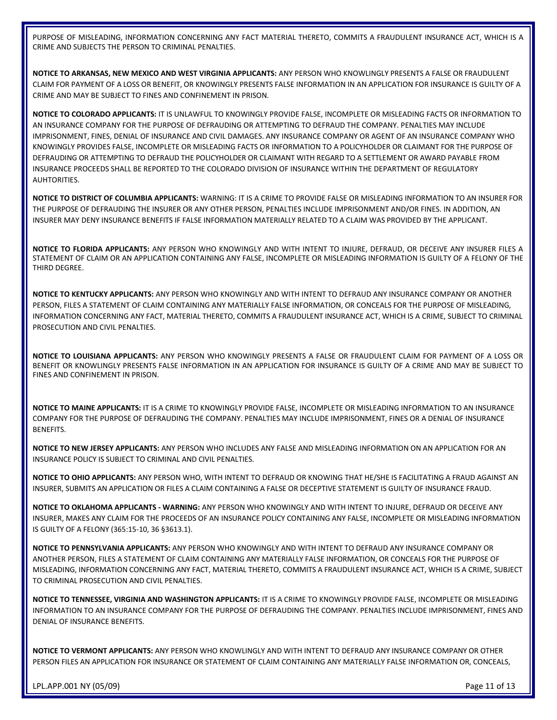PURPOSE OF MISLEADING, INFORMATION CONCERNING ANY FACT MATERIAL THERETO, COMMITS A FRAUDULENT INSURANCE ACT, WHICH IS A CRIME AND SUBJECTS THE PERSON TO CRIMINAL PENALTIES.

**NOTICE TO ARKANSAS, NEW MEXICO AND WEST VIRGINIA APPLICANTS:** ANY PERSON WHO KNOWLINGLY PRESENTS A FALSE OR FRAUDULENT CLAIM FOR PAYMENT OF A LOSS OR BENEFIT, OR KNOWINGLY PRESENTS FALSE INFORMATION IN AN APPLICATION FOR INSURANCE IS GUILTY OF A CRIME AND MAY BE SUBJECT TO FINES AND CONFINEMENT IN PRISON.

**NOTICE TO COLORADO APPLICANTS:** IT IS UNLAWFUL TO KNOWINGLY PROVIDE FALSE, INCOMPLETE OR MISLEADING FACTS OR INFORMATION TO AN INSURANCE COMPANY FOR THE PURPOSE OF DEFRAUDING OR ATTEMPTING TO DEFRAUD THE COMPANY. PENALTIES MAY INCLUDE IMPRISONMENT, FINES, DENIAL OF INSURANCE AND CIVIL DAMAGES. ANY INSURANCE COMPANY OR AGENT OF AN INSURANCE COMPANY WHO KNOWINGLY PROVIDES FALSE, INCOMPLETE OR MISLEADING FACTS OR INFORMATION TO A POLICYHOLDER OR CLAIMANT FOR THE PURPOSE OF DEFRAUDING OR ATTEMPTING TO DEFRAUD THE POLICYHOLDER OR CLAIMANT WITH REGARD TO A SETTLEMENT OR AWARD PAYABLE FROM INSURANCE PROCEEDS SHALL BE REPORTED TO THE COLORADO DIVISION OF INSURANCE WITHIN THE DEPARTMENT OF REGULATORY AUHTORITIES.

**NOTICE TO DISTRICT OF COLUMBIA APPLICANTS:** WARNING: IT IS A CRIME TO PROVIDE FALSE OR MISLEADING INFORMATION TO AN INSURER FOR THE PURPOSE OF DEFRAUDING THE INSURER OR ANY OTHER PERSON, PENALTIES INCLUDE IMPRISONMENT AND/OR FINES. IN ADDITION, AN INSURER MAY DENY INSURANCE BENEFITS IF FALSE INFORMATION MATERIALLY RELATED TO A CLAIM WAS PROVIDED BY THE APPLICANT.

**NOTICE TO FLORIDA APPLICANTS:** ANY PERSON WHO KNOWINGLY AND WITH INTENT TO INJURE, DEFRAUD, OR DECEIVE ANY INSURER FILES A STATEMENT OF CLAIM OR AN APPLICATION CONTAINING ANY FALSE, INCOMPLETE OR MISLEADING INFORMATION IS GUILTY OF A FELONY OF THE THIRD DEGREE.

**NOTICE TO KENTUCKY APPLICANTS:** ANY PERSON WHO KNOWINGLY AND WITH INTENT TO DEFRAUD ANY INSURANCE COMPANY OR ANOTHER PERSON, FILES A STATEMENT OF CLAIM CONTAINING ANY MATERIALLY FALSE INFORMATION, OR CONCEALS FOR THE PURPOSE OF MISLEADING, INFORMATION CONCERNING ANY FACT, MATERIAL THERETO, COMMITS A FRAUDULENT INSURANCE ACT, WHICH IS A CRIME, SUBJECT TO CRIMINAL PROSECUTION AND CIVIL PENALTIES.

**NOTICE TO LOUISIANA APPLICANTS:** ANY PERSON WHO KNOWINGLY PRESENTS A FALSE OR FRAUDULENT CLAIM FOR PAYMENT OF A LOSS OR BENEFIT OR KNOWLINGLY PRESENTS FALSE INFORMATION IN AN APPLICATION FOR INSURANCE IS GUILTY OF A CRIME AND MAY BE SUBJECT TO FINES AND CONFINEMENT IN PRISON.

**NOTICE TO MAINE APPLICANTS:** IT IS A CRIME TO KNOWINGLY PROVIDE FALSE, INCOMPLETE OR MISLEADING INFORMATION TO AN INSURANCE COMPANY FOR THE PURPOSE OF DEFRAUDING THE COMPANY. PENALTIES MAY INCLUDE IMPRISONMENT, FINES OR A DENIAL OF INSURANCE BENEFITS.

**NOTICE TO NEW JERSEY APPLICANTS:** ANY PERSON WHO INCLUDES ANY FALSE AND MISLEADING INFORMATION ON AN APPLICATION FOR AN INSURANCE POLICY IS SUBJECT TO CRIMINAL AND CIVIL PENALTIES.

**NOTICE TO OHIO APPLICANTS:** ANY PERSON WHO, WITH INTENT TO DEFRAUD OR KNOWING THAT HE/SHE IS FACILITATING A FRAUD AGAINST AN INSURER, SUBMITS AN APPLICATION OR FILES A CLAIM CONTAINING A FALSE OR DECEPTIVE STATEMENT IS GUILTY OF INSURANCE FRAUD.

**NOTICE TO OKLAHOMA APPLICANTS - WARNING:** ANY PERSON WHO KNOWINGLY AND WITH INTENT TO INJURE, DEFRAUD OR DECEIVE ANY INSURER, MAKES ANY CLAIM FOR THE PROCEEDS OF AN INSURANCE POLICY CONTAINING ANY FALSE, INCOMPLETE OR MISLEADING INFORMATION IS GUILTY OF A FELONY (365:15-10, 36 §3613.1).

**NOTICE TO PENNSYLVANIA APPLICANTS:** ANY PERSON WHO KNOWINGLY AND WITH INTENT TO DEFRAUD ANY INSURANCE COMPANY OR ANOTHER PERSON, FILES A STATEMENT OF CLAIM CONTAINING ANY MATERIALLY FALSE INFORMATION, OR CONCEALS FOR THE PURPOSE OF MISLEADING, INFORMATION CONCERNING ANY FACT, MATERIAL THERETO, COMMITS A FRAUDULENT INSURANCE ACT, WHICH IS A CRIME, SUBJECT TO CRIMINAL PROSECUTION AND CIVIL PENALTIES.

**NOTICE TO TENNESSEE, VIRGINIA AND WASHINGTON APPLICANTS:** IT IS A CRIME TO KNOWINGLY PROVIDE FALSE, INCOMPLETE OR MISLEADING INFORMATION TO AN INSURANCE COMPANY FOR THE PURPOSE OF DEFRAUDING THE COMPANY. PENALTIES INCLUDE IMPRISONMENT, FINES AND DENIAL OF INSURANCE BENEFITS.

**NOTICE TO VERMONT APPLICANTS:** ANY PERSON WHO KNOWLINGLY AND WITH INTENT TO DEFRAUD ANY INSURANCE COMPANY OR OTHER PERSON FILES AN APPLICATION FOR INSURANCE OR STATEMENT OF CLAIM CONTAINING ANY MATERIALLY FALSE INFORMATION OR, CONCEALS,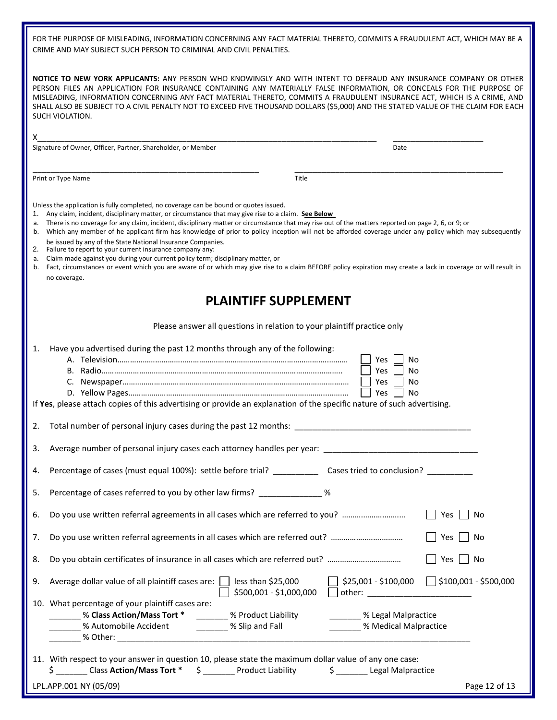FOR THE PURPOSE OF MISLEADING, INFORMATION CONCERNING ANY FACT MATERIAL THERETO, COMMITS A FRAUDULENT ACT, WHICH MAY BE A CRIME AND MAY SUBJECT SUCH PERSON TO CRIMINAL AND CIVIL PENALTIES.

**NOTICE TO NEW YORK APPLICANTS:** ANY PERSON WHO KNOWINGLY AND WITH INTENT TO DEFRAUD ANY INSURANCE COMPANY OR OTHER PERSON FILES AN APPLICATION FOR INSURANCE CONTAINING ANY MATERIALLY FALSE INFORMATION, OR CONCEALS FOR THE PURPOSE OF MISLEADING, INFORMATION CONCERNING ANY FACT MATERIAL THERETO, COMMITS A FRAUDULENT INSURANCE ACT, WHICH IS A CRIME, AND SHALL ALSO BE SUBJECT TO A CIVIL PENALTY NOT TO EXCEED FIVE THOUSAND DOLLARS (\$5,000) AND THE STATED VALUE OF THE CLAIM FOR EACH SUCH VIOLATION.

| X.<br>Signature of Owner, Officer, Partner, Shareholder, or Member                                                                                                                                                                                                                                                                                                                                                                                                                                                                                                                          | Date                                                                                                                                                                                                                                                                                                                           |
|---------------------------------------------------------------------------------------------------------------------------------------------------------------------------------------------------------------------------------------------------------------------------------------------------------------------------------------------------------------------------------------------------------------------------------------------------------------------------------------------------------------------------------------------------------------------------------------------|--------------------------------------------------------------------------------------------------------------------------------------------------------------------------------------------------------------------------------------------------------------------------------------------------------------------------------|
|                                                                                                                                                                                                                                                                                                                                                                                                                                                                                                                                                                                             |                                                                                                                                                                                                                                                                                                                                |
| Print or Type Name                                                                                                                                                                                                                                                                                                                                                                                                                                                                                                                                                                          | Title                                                                                                                                                                                                                                                                                                                          |
| Unless the application is fully completed, no coverage can be bound or quotes issued.<br>1. Any claim, incident, disciplinary matter, or circumstance that may give rise to a claim. See Below<br>a. There is no coverage for any claim, incident, disciplinary matter or circumstance that may rise out of the matters reported on page 2, 6, or 9; or<br>be issued by any of the State National Insurance Companies.<br>2. Failure to report to your current insurance company any:<br>a. Claim made against you during your current policy term; disciplinary matter, or<br>no coverage. | b. Which any member of he applicant firm has knowledge of prior to policy inception will not be afforded coverage under any policy which may subsequently<br>b. Fact, circumstances or event which you are aware of or which may give rise to a claim BEFORE policy expiration may create a lack in coverage or will result in |
|                                                                                                                                                                                                                                                                                                                                                                                                                                                                                                                                                                                             | <b>PLAINTIFF SUPPLEMENT</b>                                                                                                                                                                                                                                                                                                    |
|                                                                                                                                                                                                                                                                                                                                                                                                                                                                                                                                                                                             | Please answer all questions in relation to your plaintiff practice only                                                                                                                                                                                                                                                        |
| Have you advertised during the past 12 months through any of the following:<br>1.<br>If Yes, please attach copies of this advertising or provide an explanation of the specific nature of such advertising.                                                                                                                                                                                                                                                                                                                                                                                 | Yes<br>No<br>Yes<br>No<br>Yes<br>No<br>Yes<br>No                                                                                                                                                                                                                                                                               |
| 2.                                                                                                                                                                                                                                                                                                                                                                                                                                                                                                                                                                                          |                                                                                                                                                                                                                                                                                                                                |
| 3.                                                                                                                                                                                                                                                                                                                                                                                                                                                                                                                                                                                          |                                                                                                                                                                                                                                                                                                                                |
| Percentage of cases (must equal 100%): settle before trial? ______________ Cases tried to conclusion? __________<br>4.                                                                                                                                                                                                                                                                                                                                                                                                                                                                      |                                                                                                                                                                                                                                                                                                                                |
| Percentage of cases referred to you by other law firms? ______________ %<br>5.                                                                                                                                                                                                                                                                                                                                                                                                                                                                                                              |                                                                                                                                                                                                                                                                                                                                |
| Do you use written referral agreements in all cases which are referred to you?<br>6.                                                                                                                                                                                                                                                                                                                                                                                                                                                                                                        | Yes<br>No                                                                                                                                                                                                                                                                                                                      |
| Do you use written referral agreements in all cases which are referred out?<br>7.                                                                                                                                                                                                                                                                                                                                                                                                                                                                                                           | Yes<br>No                                                                                                                                                                                                                                                                                                                      |
| Do you obtain certificates of insurance in all cases which are referred out?<br>8.                                                                                                                                                                                                                                                                                                                                                                                                                                                                                                          | Yes<br>∣No                                                                                                                                                                                                                                                                                                                     |
| Average dollar value of all plaintiff cases are: $\Box$ less than \$25,000<br>9.                                                                                                                                                                                                                                                                                                                                                                                                                                                                                                            | _  \$25,001 - \$100,000        _  \$100,001 - \$500,000<br>\$500,001 - \$1,000,000<br>other:                                                                                                                                                                                                                                   |
| 10. What percentage of your plaintiff cases are:<br><b>________ % Class Action/Mass Tort *</b> _________ % Product Liability<br>______ % Automobile Accident ________ % Slip and Fall                                                                                                                                                                                                                                                                                                                                                                                                       | ________ % Legal Malpractice<br>% Medical Malpractice                                                                                                                                                                                                                                                                          |
| 11. With respect to your answer in question 10, please state the maximum dollar value of any one case:<br>\$ ________ Class Action/Mass Tort * \$ ________ Product Liability                                                                                                                                                                                                                                                                                                                                                                                                                | \$ _______ Legal Malpractice                                                                                                                                                                                                                                                                                                   |
| LPL.APP.001 NY (05/09)                                                                                                                                                                                                                                                                                                                                                                                                                                                                                                                                                                      | Page 12 of 13                                                                                                                                                                                                                                                                                                                  |